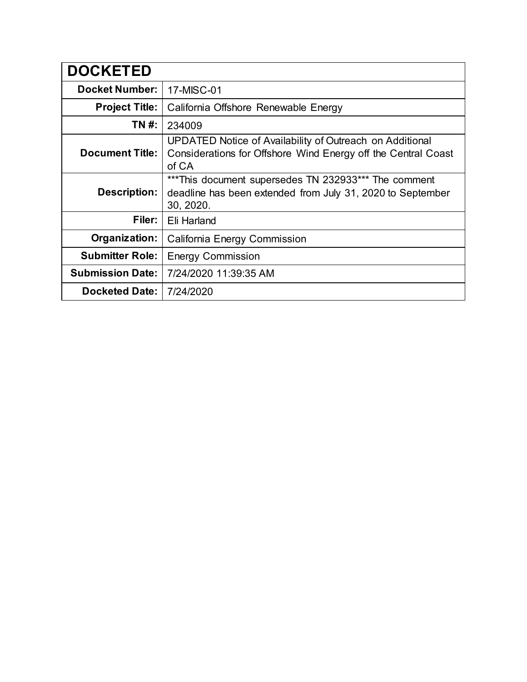| <b>DOCKETED</b>         |                                                                                                                                    |  |
|-------------------------|------------------------------------------------------------------------------------------------------------------------------------|--|
| <b>Docket Number:</b>   | 17-MISC-01                                                                                                                         |  |
| <b>Project Title:</b>   | California Offshore Renewable Energy                                                                                               |  |
| TN #:                   | 234009                                                                                                                             |  |
| <b>Document Title:</b>  | UPDATED Notice of Availability of Outreach on Additional<br>Considerations for Offshore Wind Energy off the Central Coast<br>of CA |  |
| <b>Description:</b>     | ***This document supersedes TN 232933*** The comment<br>deadline has been extended from July 31, 2020 to September<br>30, 2020.    |  |
| Filer:                  | Eli Harland                                                                                                                        |  |
| Organization:           | California Energy Commission                                                                                                       |  |
| <b>Submitter Role:</b>  | <b>Energy Commission</b>                                                                                                           |  |
| <b>Submission Date:</b> | 7/24/2020 11:39:35 AM                                                                                                              |  |
| <b>Docketed Date:</b>   | 7/24/2020                                                                                                                          |  |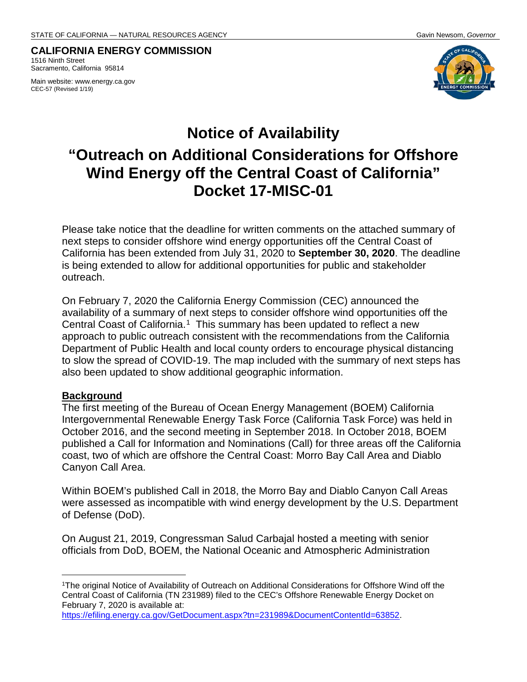#### **CALIFORNIA ENERGY COMMISSION** 1516 Ninth Street Sacramento, California 95814

Main website: www.energy.ca.gov CEC-57 (Revised 1/19)



# **Notice of Availability "Outreach on Additional Considerations for Offshore Wind Energy off the Central Coast of California" Docket 17-MISC-01**

Please take notice that the deadline for written comments on the attached summary of next steps to consider offshore wind energy opportunities off the Central Coast of California has been extended from July 31, 2020 to **September 30, 2020**. The deadline is being extended to allow for additional opportunities for public and stakeholder outreach.

On February 7, 2020 the California Energy Commission (CEC) announced the availability of a summary of next steps to consider offshore wind opportunities off the Central Coast of California.<sup>[1](#page-1-0)</sup> This summary has been updated to reflect a new approach to public outreach consistent with the recommendations from the California Department of Public Health and local county orders to encourage physical distancing to slow the spread of COVID-19. The map included with the summary of next steps has also been updated to show additional geographic information.

#### **Background**

 $\overline{a}$ 

The first meeting of the Bureau of Ocean Energy Management (BOEM) California Intergovernmental Renewable Energy Task Force (California Task Force) was held in October 2016, and the second meeting in September 2018. In October 2018, BOEM published a Call for Information and Nominations (Call) for three areas off the California coast, two of which are offshore the Central Coast: Morro Bay Call Area and Diablo Canyon Call Area.

Within BOEM's published Call in 2018, the Morro Bay and Diablo Canyon Call Areas were assessed as incompatible with wind energy development by the U.S. Department of Defense (DoD).

On August 21, 2019, Congressman Salud Carbajal hosted a meeting with senior officials from DoD, BOEM, the National Oceanic and Atmospheric Administration

<span id="page-1-0"></span><sup>1</sup>The original Notice of Availability of Outreach on Additional Considerations for Offshore Wind off the Central Coast of California (TN 231989) filed to the CEC's Offshore Renewable Energy Docket on February 7, 2020 is available at:

[https://efiling.energy.ca.gov/GetDocument.aspx?tn=231989&DocumentContentId=63852.](https://efiling.energy.ca.gov/GetDocument.aspx?tn=231989&DocumentContentId=63852)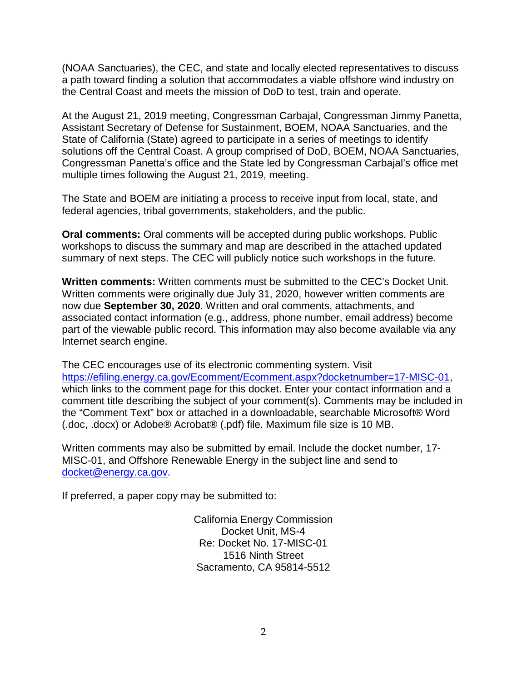(NOAA Sanctuaries), the CEC, and state and locally elected representatives to discuss a path toward finding a solution that accommodates a viable offshore wind industry on the Central Coast and meets the mission of DoD to test, train and operate.

At the August 21, 2019 meeting, Congressman Carbajal, Congressman Jimmy Panetta, Assistant Secretary of Defense for Sustainment, BOEM, NOAA Sanctuaries, and the State of California (State) agreed to participate in a series of meetings to identify solutions off the Central Coast. A group comprised of DoD, BOEM, NOAA Sanctuaries, Congressman Panetta's office and the State led by Congressman Carbajal's office met multiple times following the August 21, 2019, meeting.

The State and BOEM are initiating a process to receive input from local, state, and federal agencies, tribal governments, stakeholders, and the public.

**Oral comments:** Oral comments will be accepted during public workshops. Public workshops to discuss the summary and map are described in the attached updated summary of next steps. The CEC will publicly notice such workshops in the future.

**Written comments:** Written comments must be submitted to the CEC's Docket Unit. Written comments were originally due July 31, 2020, however written comments are now due **September 30, 2020**. Written and oral comments, attachments, and associated contact information (e.g., address, phone number, email address) become part of the viewable public record. This information may also become available via any Internet search engine.

The CEC encourages use of its electronic commenting system. Visit [https://efiling.energy.ca.gov/Ecomment/Ecomment.aspx?docketnumber=17-MISC-01,](https://efiling.energy.ca.gov/Ecomment/Ecomment.aspx?docketnumber=17-MISC-01) which links to the comment page for this docket. Enter your contact information and a comment title describing the subject of your comment(s). Comments may be included in the "Comment Text" box or attached in a downloadable, searchable Microsoft® Word (.doc, .docx) or Adobe® Acrobat® (.pdf) file. Maximum file size is 10 MB.

Written comments may also be submitted by email. Include the docket number, 17- MISC-01, and Offshore Renewable Energy in the subject line and send to docket@energy.ca.gov.

If preferred, a paper copy may be submitted to:

California Energy Commission Docket Unit, MS-4 Re: Docket No. 17-MISC-01 1516 Ninth Street Sacramento, CA 95814-5512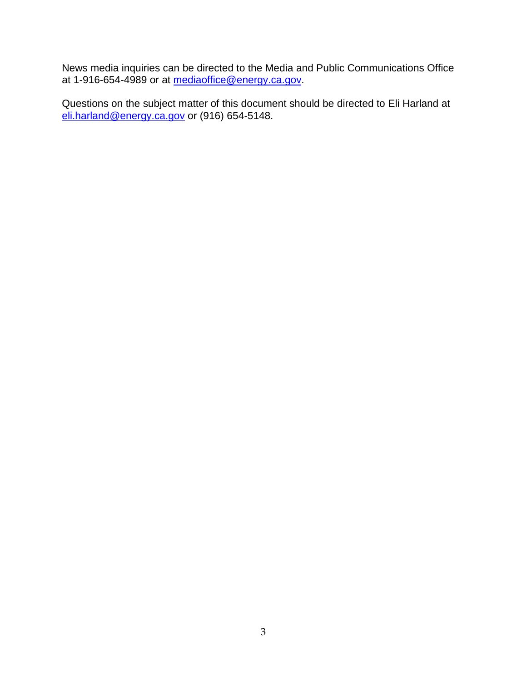News media inquiries can be directed to the Media and Public Communications Office at 1-916-654-4989 or at <u>mediaoffice@energy.ca.gov</u>.

Questions on the subject matter of this document should be directed to Eli Harland at [eli.harland@energy.ca.gov](mailto:eli.harland@energy.ca.gov) or (916) 654-5148.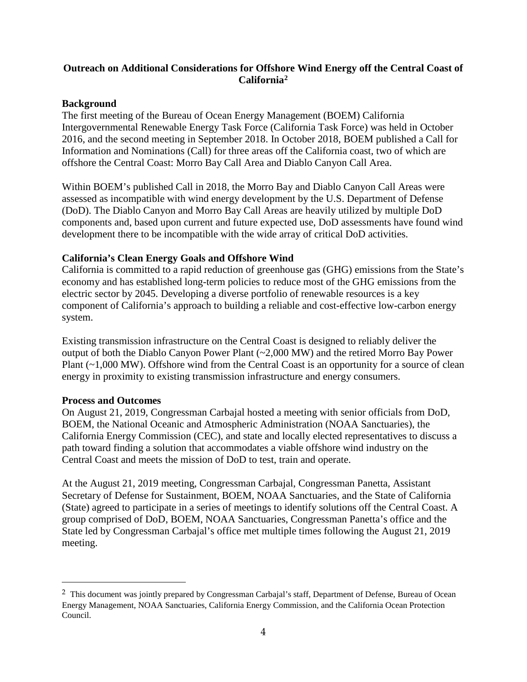### **Outreach on Additional Considerations for Offshore Wind Energy off the Central Coast of Californi[a2](#page-4-0)**

#### **Background**

The first meeting of the Bureau of Ocean Energy Management (BOEM) California Intergovernmental Renewable Energy Task Force (California Task Force) was held in October 2016, and the second meeting in September 2018. In October 2018, BOEM published a Call for Information and Nominations (Call) for three areas off the California coast, two of which are offshore the Central Coast: Morro Bay Call Area and Diablo Canyon Call Area.

Within BOEM's published Call in 2018, the Morro Bay and Diablo Canyon Call Areas were assessed as incompatible with wind energy development by the U.S. Department of Defense (DoD). The Diablo Canyon and Morro Bay Call Areas are heavily utilized by multiple DoD components and, based upon current and future expected use, DoD assessments have found wind development there to be incompatible with the wide array of critical DoD activities.

#### **California's Clean Energy Goals and Offshore Wind**

California is committed to a rapid reduction of greenhouse gas (GHG) emissions from the State's economy and has established long-term policies to reduce most of the GHG emissions from the electric sector by 2045. Developing a diverse portfolio of renewable resources is a key component of California's approach to building a reliable and cost-effective low-carbon energy system.

Existing transmission infrastructure on the Central Coast is designed to reliably deliver the output of both the Diablo Canyon Power Plant (~2,000 MW) and the retired Morro Bay Power Plant (~1,000 MW). Offshore wind from the Central Coast is an opportunity for a source of clean energy in proximity to existing transmission infrastructure and energy consumers.

#### **Process and Outcomes**

On August 21, 2019, Congressman Carbajal hosted a meeting with senior officials from DoD, BOEM, the National Oceanic and Atmospheric Administration (NOAA Sanctuaries), the California Energy Commission (CEC), and state and locally elected representatives to discuss a path toward finding a solution that accommodates a viable offshore wind industry on the Central Coast and meets the mission of DoD to test, train and operate.

At the August 21, 2019 meeting, Congressman Carbajal, Congressman Panetta, Assistant Secretary of Defense for Sustainment, BOEM, NOAA Sanctuaries, and the State of California (State) agreed to participate in a series of meetings to identify solutions off the Central Coast. A group comprised of DoD, BOEM, NOAA Sanctuaries, Congressman Panetta's office and the State led by Congressman Carbajal's office met multiple times following the August 21, 2019 meeting.

<span id="page-4-0"></span> <sup>2</sup> This document was jointly prepared by Congressman Carbajal's staff, Department of Defense, Bureau of Ocean Energy Management, NOAA Sanctuaries, California Energy Commission, and the California Ocean Protection Council.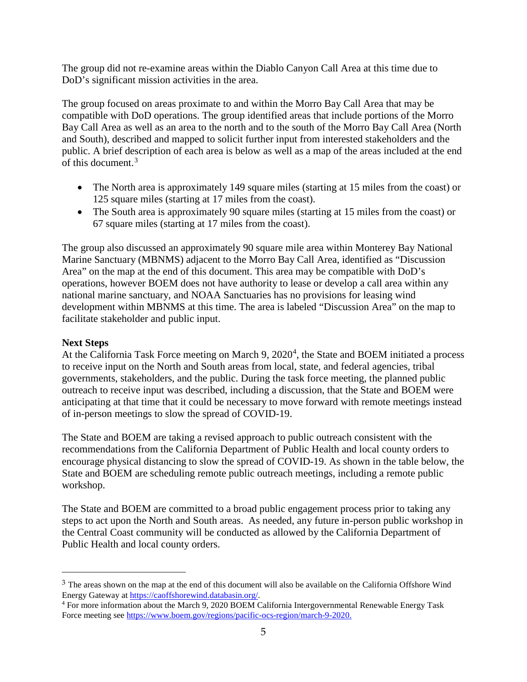The group did not re-examine areas within the Diablo Canyon Call Area at this time due to DoD's significant mission activities in the area.

The group focused on areas proximate to and within the Morro Bay Call Area that may be compatible with DoD operations. The group identified areas that include portions of the Morro Bay Call Area as well as an area to the north and to the south of the Morro Bay Call Area (North and South), described and mapped to solicit further input from interested stakeholders and the public. A brief description of each area is below as well as a map of the areas included at the end of this document.[3](#page-5-0)

- The North area is approximately 149 square miles (starting at 15 miles from the coast) or 125 square miles (starting at 17 miles from the coast).
- The South area is approximately 90 square miles (starting at 15 miles from the coast) or 67 square miles (starting at 17 miles from the coast).

The group also discussed an approximately 90 square mile area within Monterey Bay National Marine Sanctuary (MBNMS) adjacent to the Morro Bay Call Area, identified as "Discussion Area" on the map at the end of this document. This area may be compatible with DoD's operations, however BOEM does not have authority to lease or develop a call area within any national marine sanctuary, and NOAA Sanctuaries has no provisions for leasing wind development within MBNMS at this time. The area is labeled "Discussion Area" on the map to facilitate stakeholder and public input.

#### **Next Steps**

 $\overline{a}$ 

At the California Task Force meeting on March 9, 2020<sup>[4](#page-5-1)</sup>, the State and BOEM initiated a process to receive input on the North and South areas from local, state, and federal agencies, tribal governments, stakeholders, and the public. During the task force meeting, the planned public outreach to receive input was described, including a discussion, that the State and BOEM were anticipating at that time that it could be necessary to move forward with remote meetings instead of in-person meetings to slow the spread of COVID-19.

The State and BOEM are taking a revised approach to public outreach consistent with the recommendations from the California Department of Public Health and local county orders to encourage physical distancing to slow the spread of COVID-19. As shown in the table below, the State and BOEM are scheduling remote public outreach meetings, including a remote public workshop.

The State and BOEM are committed to a broad public engagement process prior to taking any steps to act upon the North and South areas. As needed, any future in-person public workshop in the Central Coast community will be conducted as allowed by the California Department of Public Health and local county orders.

<span id="page-5-0"></span><sup>&</sup>lt;sup>3</sup> The areas shown on the map at the end of this document will also be available on the California Offshore Wind Energy Gateway at [https://caoffshorewind.databasin.org/.](https://caoffshorewind.databasin.org/)

<span id="page-5-1"></span><sup>4</sup> For more information about the March 9, 2020 BOEM California Intergovernmental Renewable Energy Task Force meeting see [https://www.boem.gov/regions/pacific-ocs-region/march-9-2020.](https://www.boem.gov/regions/pacific-ocs-region/march-9-2020)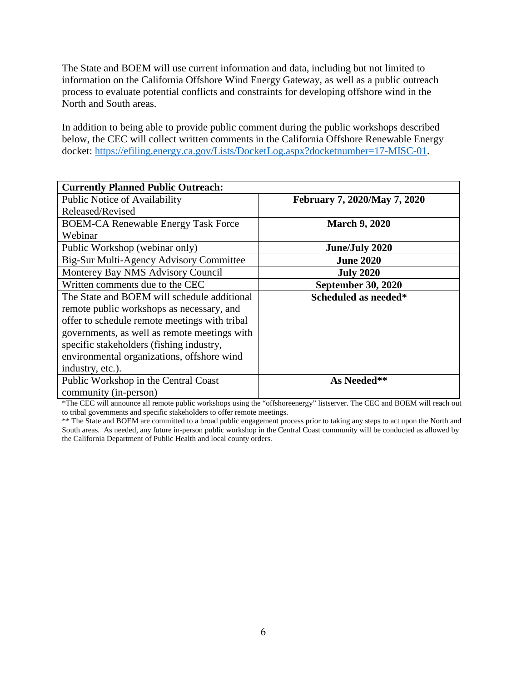The State and BOEM will use current information and data, including but not limited to information on the California Offshore Wind Energy Gateway, as well as a public outreach process to evaluate potential conflicts and constraints for developing offshore wind in the North and South areas.

In addition to being able to provide public comment during the public workshops described below, the CEC will collect written comments in the California Offshore Renewable Energy docket: [https://efiling.energy.ca.gov/Lists/DocketLog.aspx?docketnumber=17-MISC-01.](https://efiling.energy.ca.gov/Lists/DocketLog.aspx?docketnumber=17-MISC-01)

| <b>Currently Planned Public Outreach:</b>     |                              |  |
|-----------------------------------------------|------------------------------|--|
| <b>Public Notice of Availability</b>          | February 7, 2020/May 7, 2020 |  |
| Released/Revised                              |                              |  |
| <b>BOEM-CA Renewable Energy Task Force</b>    | <b>March 9, 2020</b>         |  |
| Webinar                                       |                              |  |
| Public Workshop (webinar only)                | <b>June/July 2020</b>        |  |
| Big-Sur Multi-Agency Advisory Committee       | <b>June 2020</b>             |  |
| Monterey Bay NMS Advisory Council             | <b>July 2020</b>             |  |
| Written comments due to the CEC               | <b>September 30, 2020</b>    |  |
| The State and BOEM will schedule additional   | Scheduled as needed*         |  |
| remote public workshops as necessary, and     |                              |  |
| offer to schedule remote meetings with tribal |                              |  |
| governments, as well as remote meetings with  |                              |  |
| specific stakeholders (fishing industry,      |                              |  |
| environmental organizations, offshore wind    |                              |  |
| industry, etc.).                              |                              |  |
| Public Workshop in the Central Coast          | As Needed**                  |  |
| community (in-person)                         |                              |  |

\*The CEC will announce all remote public workshops using the "offshoreenergy" listserver. The CEC and BOEM will reach out to tribal governments and specific stakeholders to offer remote meetings.

\*\* The State and BOEM are committed to a broad public engagement process prior to taking any steps to act upon the North and South areas. As needed, any future in-person public workshop in the Central Coast community will be conducted as allowed by the California Department of Public Health and local county orders.